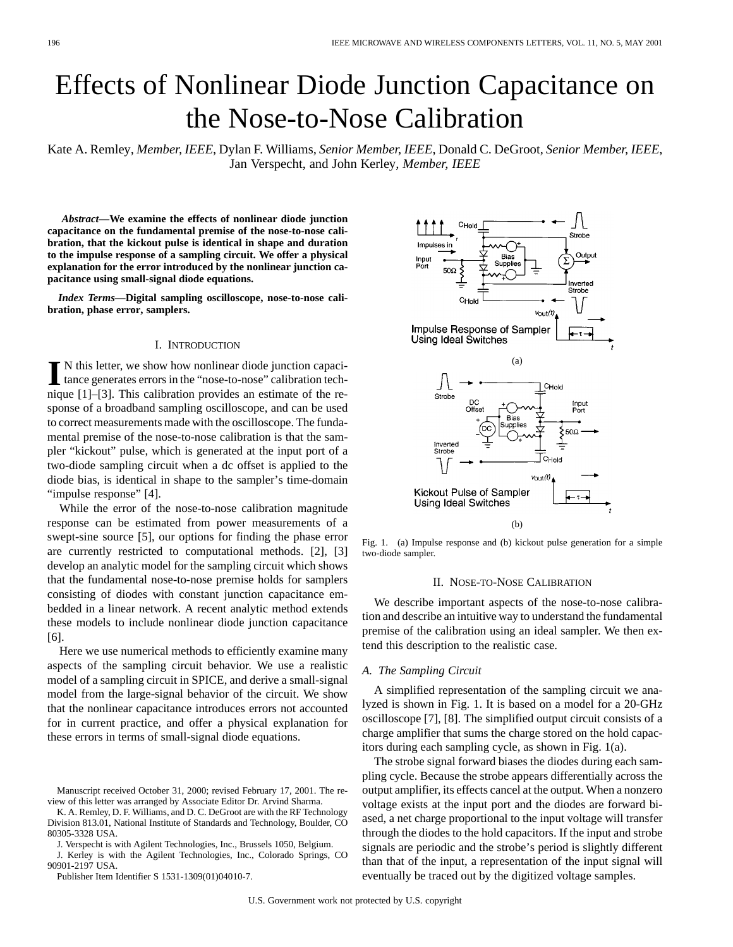# Effects of Nonlinear Diode Junction Capacitance on the Nose-to-Nose Calibration

Kate A. Remley*, Member, IEEE*, Dylan F. Williams*, Senior Member, IEEE*, Donald C. DeGroot*, Senior Member, IEEE*, Jan Verspecht, and John Kerley*, Member, IEEE*

*Abstract—***We examine the effects of nonlinear diode junction capacitance on the fundamental premise of the nose-to-nose calibration, that the kickout pulse is identical in shape and duration to the impulse response of a sampling circuit. We offer a physical explanation for the error introduced by the nonlinear junction capacitance using small-signal diode equations.**

*Index Terms—***Digital sampling oscilloscope, nose-to-nose calibration, phase error, samplers.**

# I. INTRODUCTION

In this letter, we show how nonlinear diode junction capaci-<br>tance generates errors in the "nose-to-nose" calibration tech-<br>nisma [1], [2]. This salibration generates are estimated of the manique [1]–[3]. This calibration provides an estimate of the response of a broadband sampling oscilloscope, and can be used to correct measurements made with the oscilloscope. The fundamental premise of the nose-to-nose calibration is that the sampler "kickout" pulse, which is generated at the input port of a two-diode sampling circuit when a dc offset is applied to the diode bias, is identical in shape to the sampler's time-domain "impulse response" [4].

While the error of the nose-to-nose calibration magnitude response can be estimated from power measurements of a swept-sine source [5], our options for finding the phase error are currently restricted to computational methods. [2], [3] develop an analytic model for the sampling circuit which shows that the fundamental nose-to-nose premise holds for samplers consisting of diodes with constant junction capacitance embedded in a linear network. A recent analytic method extends these models to include nonlinear diode junction capacitance [6].

Here we use numerical methods to efficiently examine many aspects of the sampling circuit behavior. We use a realistic model of a sampling circuit in SPICE, and derive a small-signal model from the large-signal behavior of the circuit. We show that the nonlinear capacitance introduces errors not accounted for in current practice, and offer a physical explanation for these errors in terms of small-signal diode equations.

K. A. Remley, D. F. Williams, and D. C. DeGroot are with the RF Technology Division 813.01, National Institute of Standards and Technology, Boulder, CO 80305-3328 USA.

J. Verspecht is with Agilent Technologies, Inc., Brussels 1050, Belgium.

J. Kerley is with the Agilent Technologies, Inc., Colorado Springs, CO 90901-2197 USA.

Publisher Item Identifier S 1531-1309(01)04010-7.



Fig. 1. (a) Impulse response and (b) kickout pulse generation for a simple two-diode sampler.

#### II. NOSE-TO-NOSE CALIBRATION

We describe important aspects of the nose-to-nose calibration and describe an intuitive way to understand the fundamental premise of the calibration using an ideal sampler. We then extend this description to the realistic case.

### *A. The Sampling Circuit*

A simplified representation of the sampling circuit we analyzed is shown in Fig. 1. It is based on a model for a 20-GHz oscilloscope [7], [8]. The simplified output circuit consists of a charge amplifier that sums the charge stored on the hold capacitors during each sampling cycle, as shown in Fig. 1(a).

The strobe signal forward biases the diodes during each sampling cycle. Because the strobe appears differentially across the output amplifier, its effects cancel at the output. When a nonzero voltage exists at the input port and the diodes are forward biased, a net charge proportional to the input voltage will transfer through the diodes to the hold capacitors. If the input and strobe signals are periodic and the strobe's period is slightly different than that of the input, a representation of the input signal will eventually be traced out by the digitized voltage samples.

Manuscript received October 31, 2000; revised February 17, 2001. The review of this letter was arranged by Associate Editor Dr. Arvind Sharma.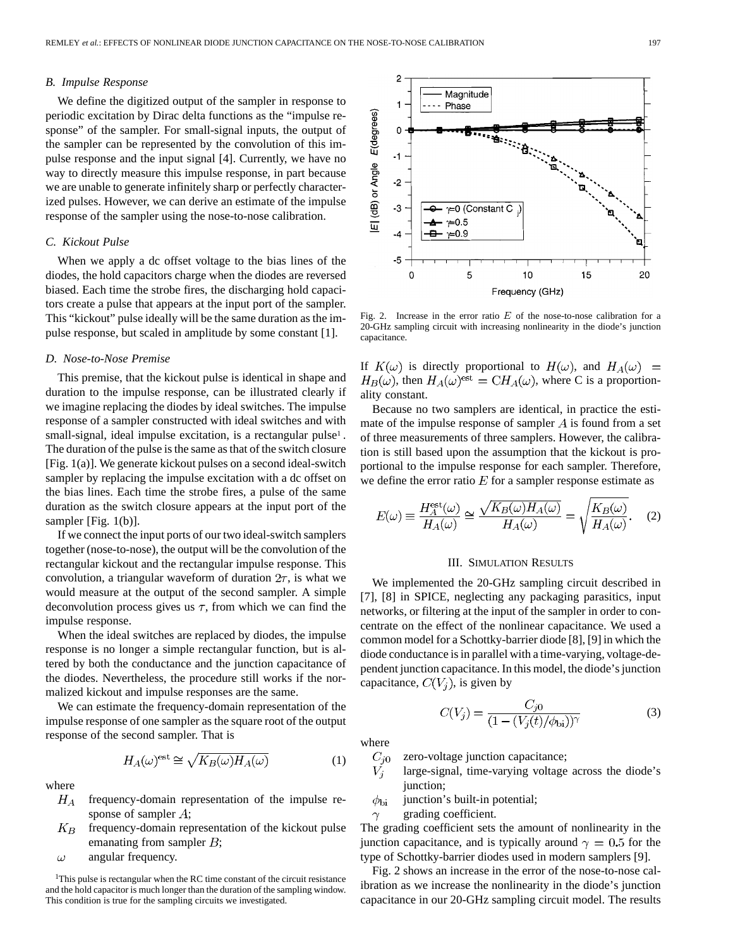#### *B. Impulse Response*

We define the digitized output of the sampler in response to periodic excitation by Dirac delta functions as the "impulse response" of the sampler. For small-signal inputs, the output of the sampler can be represented by the convolution of this impulse response and the input signal [4]. Currently, we have no way to directly measure this impulse response, in part because we are unable to generate infinitely sharp or perfectly characterized pulses. However, we can derive an estimate of the impulse response of the sampler using the nose-to-nose calibration.

# *C. Kickout Pulse*

When we apply a dc offset voltage to the bias lines of the diodes, the hold capacitors charge when the diodes are reversed biased. Each time the strobe fires, the discharging hold capacitors create a pulse that appears at the input port of the sampler. This "kickout" pulse ideally will be the same duration as the impulse response, but scaled in amplitude by some constant [1].

# *D. Nose-to-Nose Premise*

This premise, that the kickout pulse is identical in shape and duration to the impulse response, can be illustrated clearly if we imagine replacing the diodes by ideal switches. The impulse response of a sampler constructed with ideal switches and with small-signal, ideal impulse excitation, is a rectangular pulse<sup>1</sup>. The duration of the pulse is the same as that of the switch closure [Fig. 1(a)]. We generate kickout pulses on a second ideal-switch sampler by replacing the impulse excitation with a dc offset on the bias lines. Each time the strobe fires, a pulse of the same duration as the switch closure appears at the input port of the sampler [Fig. 1(b)].

If we connect the input ports of our two ideal-switch samplers together (nose-to-nose), the output will be the convolution of the rectangular kickout and the rectangular impulse response. This convolution, a triangular waveform of duration  $2\tau$ , is what we would measure at the output of the second sampler. A simple deconvolution process gives us  $\tau$ , from which we can find the impulse response.

When the ideal switches are replaced by diodes, the impulse response is no longer a simple rectangular function, but is altered by both the conductance and the junction capacitance of the diodes. Nevertheless, the procedure still works if the normalized kickout and impulse responses are the same.

We can estimate the frequency-domain representation of the impulse response of one sampler as the square root of the output response of the second sampler. That is

$$
H_A(\omega)^{\text{est}} \cong \sqrt{K_B(\omega) H_A(\omega)} \tag{1}
$$

where

- $H_A$ frequency-domain representation of the impulse response of sampler  $A$ ;
- $K_B$ frequency-domain representation of the kickout pulse emanating from sampler  $B$ ;

angular frequency.  $\omega$ 

<sup>1</sup>This pulse is rectangular when the RC time constant of the circuit resistance and the hold capacitor is much longer than the duration of the sampling window. This condition is true for the sampling circuits we investigated.



Fig. 2. Increase in the error ratio  $E$  of the nose-to-nose calibration for a 20-GHz sampling circuit with increasing nonlinearity in the diode's junction capacitance.

If  $K(\omega)$  is directly proportional to  $H(\omega)$ , and  $H_A(\omega)$  =  $H_B(\omega)$ , then  $H_A(\omega)^{\text{est}} = CH_A(\omega)$ , where C is a proportionality constant.

Because no two samplers are identical, in practice the estimate of the impulse response of sampler  $A$  is found from a set of three measurements of three samplers. However, the calibration is still based upon the assumption that the kickout is proportional to the impulse response for each sampler. Therefore, we define the error ratio  $E$  for a sampler response estimate as

$$
E(\omega) \equiv \frac{H_A^{\text{est}}(\omega)}{H_A(\omega)} \cong \frac{\sqrt{K_B(\omega)H_A(\omega)}}{H_A(\omega)} = \sqrt{\frac{K_B(\omega)}{H_A(\omega)}}. \quad (2)
$$

#### III. SIMULATION RESULTS

We implemented the 20-GHz sampling circuit described in [7], [8] in SPICE, neglecting any packaging parasitics, input networks, or filtering at the input of the sampler in order to concentrate on the effect of the nonlinear capacitance. We used a common model for a Schottky-barrier diode [8], [9] in which the diode conductance is in parallel with a time-varying, voltage-dependent junction capacitance. In this model, the diode's junction capacitance,  $C(V_j)$ , is given by

$$
C(V_j) = \frac{C_{j0}}{(1 - (V_j(t)/\phi_{\text{bi}}))^{\gamma}}
$$
(3)

where

 $C_{i0}$ zero-voltage junction capacitance;

 $V_{i}$ large-signal, time-varying voltage across the diode's junction;

 $\phi_{\rm bi}$ junction's built-in potential;

grading coefficient.  $\gamma$ 

The grading coefficient sets the amount of nonlinearity in the junction capacitance, and is typically around  $\gamma = 0.5$  for the type of Schottky-barrier diodes used in modern samplers [9].

Fig. 2 shows an increase in the error of the nose-to-nose calibration as we increase the nonlinearity in the diode's junction capacitance in our 20-GHz sampling circuit model. The results